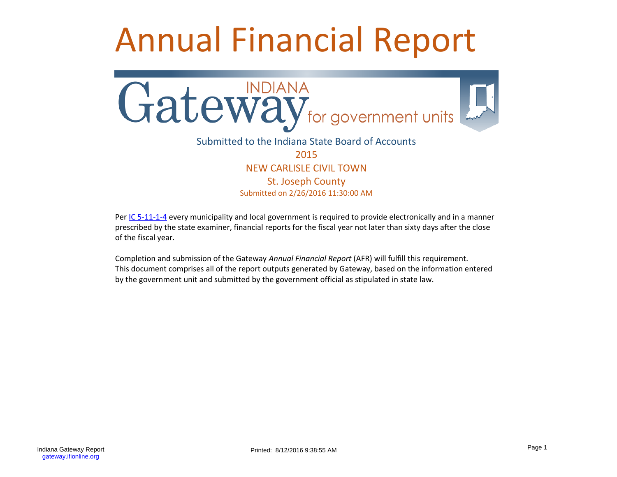# Annual Financial Report



St. Joseph County Submitted on 2/26/2016 11:30:00 AM

Per [IC 5-11-1-4](http://www.in.gov/legislative/ic/code/title5/ar11/ch1.html#IC5-11-1-4) every municipality and local government is required to provide electronically and in a manner prescribed by the state examiner, financial reports for the fiscal year not later than sixty days after the close of the fiscal year.

Completion and submission of the Gateway *Annual Financial Report* (AFR) will fulfill this requirement. This document comprises all of the report outputs generated by Gateway, based on the information entered by the government unit and submitted by the government official as stipulated in state law.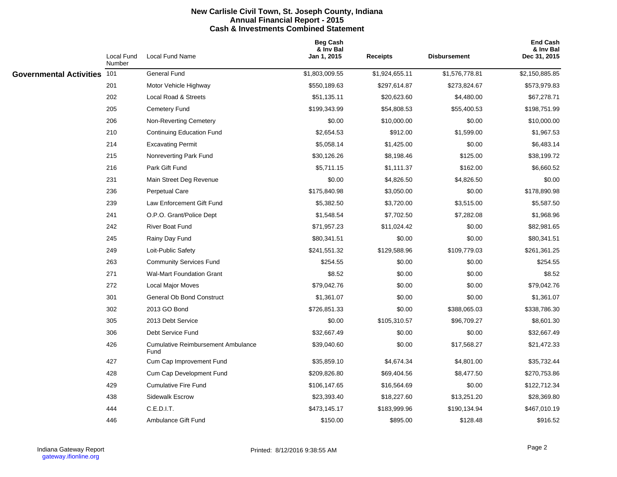## **New Carlisle Civil Town, St. Joseph County, Indiana Annual Financial Report - 2015 Cash & Investments Combined Statement**

|                                | Local Fund<br>Number | Local Fund Name                                   | <b>Beg Cash</b><br>& Inv Bal<br>Jan 1, 2015 | <b>Receipts</b> | <b>Disbursement</b> | <b>End Cash</b><br>& Inv Bal<br>Dec 31, 2015 |
|--------------------------------|----------------------|---------------------------------------------------|---------------------------------------------|-----------------|---------------------|----------------------------------------------|
| <b>Governmental Activities</b> | 101                  | <b>General Fund</b>                               | \$1,803,009.55                              | \$1,924,655.11  | \$1,576,778.81      | \$2,150,885.85                               |
|                                | 201                  | Motor Vehicle Highway                             | \$550,189.63                                | \$297,614.87    | \$273,824.67        | \$573,979.83                                 |
|                                | 202                  | Local Road & Streets                              | \$51,135.11                                 | \$20,623.60     | \$4,480.00          | \$67,278.71                                  |
|                                | 205                  | Cemetery Fund                                     | \$199,343.99                                | \$54,808.53     | \$55,400.53         | \$198,751.99                                 |
|                                | 206                  | Non-Reverting Cemetery                            | \$0.00                                      | \$10,000.00     | \$0.00              | \$10,000.00                                  |
|                                | 210                  | <b>Continuing Education Fund</b>                  | \$2,654.53                                  | \$912.00        | \$1,599.00          | \$1,967.53                                   |
|                                | 214                  | <b>Excavating Permit</b>                          | \$5,058.14                                  | \$1,425.00      | \$0.00              | \$6,483.14                                   |
|                                | 215                  | Nonreverting Park Fund                            | \$30,126.26                                 | \$8,198.46      | \$125.00            | \$38,199.72                                  |
|                                | 216                  | Park Gift Fund                                    | \$5,711.15                                  | \$1,111.37      | \$162.00            | \$6,660.52                                   |
|                                | 231                  | Main Street Deg Revenue                           | \$0.00                                      | \$4,826.50      | \$4,826.50          | \$0.00                                       |
|                                | 236                  | <b>Perpetual Care</b>                             | \$175,840.98                                | \$3,050.00      | \$0.00              | \$178,890.98                                 |
|                                | 239                  | Law Enforcement Gift Fund                         | \$5,382.50                                  | \$3,720.00      | \$3,515.00          | \$5,587.50                                   |
|                                | 241                  | O.P.O. Grant/Police Dept                          | \$1,548.54                                  | \$7,702.50      | \$7,282.08          | \$1,968.96                                   |
|                                | 242                  | <b>River Boat Fund</b>                            | \$71,957.23                                 | \$11,024.42     | \$0.00              | \$82,981.65                                  |
|                                | 245                  | Rainy Day Fund                                    | \$80,341.51                                 | \$0.00          | \$0.00              | \$80,341.51                                  |
|                                | 249                  | Loit-Public Safety                                | \$241,551.32                                | \$129,588.96    | \$109,779.03        | \$261,361.25                                 |
|                                | 263                  | <b>Community Services Fund</b>                    | \$254.55                                    | \$0.00          | \$0.00              | \$254.55                                     |
|                                | 271                  | <b>Wal-Mart Foundation Grant</b>                  | \$8.52                                      | \$0.00          | \$0.00              | \$8.52                                       |
|                                | 272                  | <b>Local Major Moves</b>                          | \$79,042.76                                 | \$0.00          | \$0.00              | \$79,042.76                                  |
|                                | 301                  | <b>General Ob Bond Construct</b>                  | \$1,361.07                                  | \$0.00          | \$0.00              | \$1,361.07                                   |
|                                | 302                  | 2013 GO Bond                                      | \$726,851.33                                | \$0.00          | \$388,065.03        | \$338,786.30                                 |
|                                | 305                  | 2013 Debt Service                                 | \$0.00                                      | \$105,310.57    | \$96,709.27         | \$8,601.30                                   |
|                                | 306                  | Debt Service Fund                                 | \$32,667.49                                 | \$0.00          | \$0.00              | \$32,667.49                                  |
|                                | 426                  | <b>Cumulative Reimbursement Ambulance</b><br>Fund | \$39,040.60                                 | \$0.00          | \$17,568.27         | \$21,472.33                                  |
|                                | 427                  | Cum Cap Improvement Fund                          | \$35,859.10                                 | \$4,674.34      | \$4,801.00          | \$35,732.44                                  |
|                                | 428                  | Cum Cap Development Fund                          | \$209,826.80                                | \$69,404.56     | \$8,477.50          | \$270,753.86                                 |
|                                | 429                  | <b>Cumulative Fire Fund</b>                       | \$106,147.65                                | \$16,564.69     | \$0.00              | \$122,712.34                                 |
|                                | 438                  | Sidewalk Escrow                                   | \$23,393.40                                 | \$18,227.60     | \$13,251.20         | \$28,369.80                                  |
|                                | 444                  | C.E.D.I.T.                                        | \$473,145.17                                | \$183,999.96    | \$190,134.94        | \$467,010.19                                 |
|                                | 446                  | Ambulance Gift Fund                               | \$150.00                                    | \$895.00        | \$128.48            | \$916.52                                     |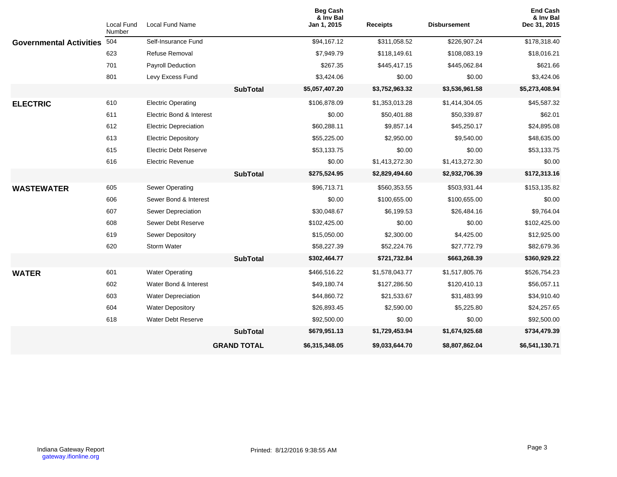|                             | <b>Local Fund</b><br>Number | <b>Local Fund Name</b>       |                    | <b>Beg Cash</b><br>& Inv Bal<br>Jan 1, 2015 | <b>Receipts</b> | <b>Disbursement</b> | <b>End Cash</b><br>& Inv Bal<br>Dec 31, 2015 |
|-----------------------------|-----------------------------|------------------------------|--------------------|---------------------------------------------|-----------------|---------------------|----------------------------------------------|
| Governmental Activities 504 |                             | Self-Insurance Fund          |                    | \$94,167.12                                 | \$311,058.52    | \$226,907.24        | \$178,318.40                                 |
|                             | 623                         | <b>Refuse Removal</b>        |                    | \$7,949.79                                  | \$118,149.61    | \$108,083.19        | \$18,016.21                                  |
|                             | 701                         | Payroll Deduction            |                    | \$267.35                                    | \$445,417.15    | \$445,062.84        | \$621.66                                     |
|                             | 801                         | Levy Excess Fund             |                    | \$3,424.06                                  | \$0.00          | \$0.00              | \$3,424.06                                   |
|                             |                             |                              | <b>SubTotal</b>    | \$5,057,407.20                              | \$3,752,963.32  | \$3,536,961.58      | \$5,273,408.94                               |
| <b>ELECTRIC</b>             | 610                         | <b>Electric Operating</b>    |                    | \$106,878.09                                | \$1,353,013.28  | \$1,414,304.05      | \$45,587.32                                  |
|                             | 611                         | Electric Bond & Interest     |                    | \$0.00                                      | \$50,401.88     | \$50,339.87         | \$62.01                                      |
|                             | 612                         | <b>Electric Depreciation</b> |                    | \$60,288.11                                 | \$9,857.14      | \$45,250.17         | \$24,895.08                                  |
|                             | 613                         | <b>Electric Depository</b>   |                    | \$55,225.00                                 | \$2,950.00      | \$9,540.00          | \$48,635.00                                  |
|                             | 615                         | <b>Electric Debt Reserve</b> |                    | \$53,133.75                                 | \$0.00          | \$0.00              | \$53,133.75                                  |
|                             | 616                         | <b>Electric Revenue</b>      |                    | \$0.00                                      | \$1,413,272.30  | \$1,413,272.30      | \$0.00                                       |
|                             |                             |                              | <b>SubTotal</b>    | \$275,524.95                                | \$2,829,494.60  | \$2,932,706.39      | \$172,313.16                                 |
| <b>WASTEWATER</b>           | 605                         | Sewer Operating              |                    | \$96,713.71                                 | \$560,353.55    | \$503,931.44        | \$153,135.82                                 |
|                             | 606                         | Sewer Bond & Interest        |                    | \$0.00                                      | \$100,655.00    | \$100,655.00        | \$0.00                                       |
|                             | 607                         | Sewer Depreciation           |                    | \$30,048.67                                 | \$6,199.53      | \$26,484.16         | \$9,764.04                                   |
|                             | 608                         | Sewer Debt Reserve           |                    | \$102,425.00                                | \$0.00          | \$0.00              | \$102,425.00                                 |
|                             | 619                         | Sewer Depository             |                    | \$15,050.00                                 | \$2,300.00      | \$4,425.00          | \$12,925.00                                  |
|                             | 620                         | Storm Water                  |                    | \$58,227.39                                 | \$52,224.76     | \$27,772.79         | \$82,679.36                                  |
|                             |                             |                              | <b>SubTotal</b>    | \$302,464.77                                | \$721,732.84    | \$663,268.39        | \$360,929.22                                 |
| <b>WATER</b>                | 601                         | <b>Water Operating</b>       |                    | \$466,516.22                                | \$1,578,043.77  | \$1,517,805.76      | \$526,754.23                                 |
|                             | 602                         | Water Bond & Interest        |                    | \$49,180.74                                 | \$127,286.50    | \$120,410.13        | \$56,057.11                                  |
|                             | 603                         | <b>Water Depreciation</b>    |                    | \$44,860.72                                 | \$21,533.67     | \$31,483.99         | \$34,910.40                                  |
|                             | 604                         | <b>Water Depository</b>      |                    | \$26,893.45                                 | \$2,590.00      | \$5,225.80          | \$24,257.65                                  |
|                             | 618                         | Water Debt Reserve           |                    | \$92,500.00                                 | \$0.00          | \$0.00              | \$92,500.00                                  |
|                             |                             |                              | <b>SubTotal</b>    | \$679,951.13                                | \$1,729,453.94  | \$1,674,925.68      | \$734,479.39                                 |
|                             |                             |                              | <b>GRAND TOTAL</b> | \$6,315,348.05                              | \$9,033,644.70  | \$8,807,862.04      | \$6,541,130.71                               |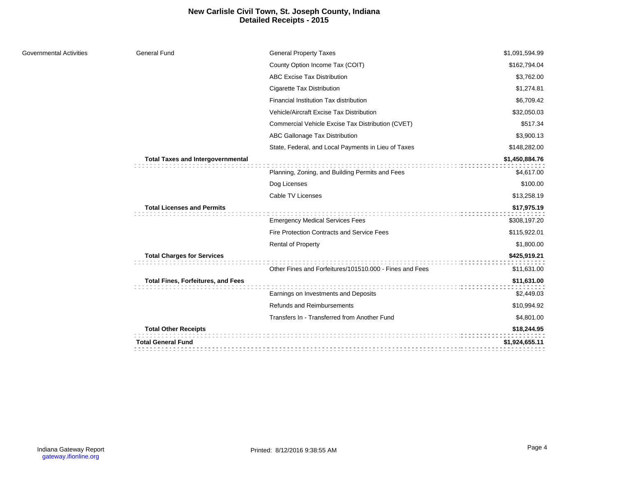## **New Carlisle Civil Town, St. Joseph County, Indiana Detailed Receipts - 2015**

| Governmental Activities | <b>General Fund</b>                       | <b>General Property Taxes</b>                           | \$1,091,594.99 |
|-------------------------|-------------------------------------------|---------------------------------------------------------|----------------|
|                         |                                           | County Option Income Tax (COIT)                         | \$162,794.04   |
|                         |                                           | <b>ABC Excise Tax Distribution</b>                      | \$3,762.00     |
|                         |                                           | Cigarette Tax Distribution                              | \$1,274.81     |
|                         |                                           | Financial Institution Tax distribution                  | \$6,709.42     |
|                         |                                           | Vehicle/Aircraft Excise Tax Distribution                | \$32,050.03    |
|                         |                                           | Commercial Vehicle Excise Tax Distribution (CVET)       | \$517.34       |
|                         |                                           | ABC Gallonage Tax Distribution                          | \$3,900.13     |
|                         |                                           | State, Federal, and Local Payments in Lieu of Taxes     | \$148,282.00   |
|                         | <b>Total Taxes and Intergovernmental</b>  |                                                         | \$1,450,884.76 |
|                         |                                           | Planning, Zoning, and Building Permits and Fees         | \$4,617.00     |
|                         |                                           | Dog Licenses                                            | \$100.00       |
|                         |                                           | Cable TV Licenses                                       | \$13,258.19    |
|                         | <b>Total Licenses and Permits</b>         |                                                         | \$17,975.19    |
|                         |                                           | <b>Emergency Medical Services Fees</b>                  | \$308,197.20   |
|                         |                                           | <b>Fire Protection Contracts and Service Fees</b>       | \$115,922.01   |
|                         |                                           | <b>Rental of Property</b>                               | \$1,800.00     |
|                         | <b>Total Charges for Services</b>         |                                                         | \$425,919.21   |
|                         |                                           | Other Fines and Forfeitures/101510.000 - Fines and Fees | \$11,631.00    |
|                         | <b>Total Fines, Forfeitures, and Fees</b> |                                                         | \$11,631.00    |
|                         |                                           | Earnings on Investments and Deposits                    | \$2,449.03     |
|                         |                                           | Refunds and Reimbursements                              | \$10,994.92    |
|                         |                                           | Transfers In - Transferred from Another Fund            | \$4,801.00     |
|                         | <b>Total Other Receipts</b>               |                                                         | \$18,244.95    |
|                         | <b>Total General Fund</b>                 |                                                         | \$1,924,655.11 |
|                         |                                           |                                                         |                |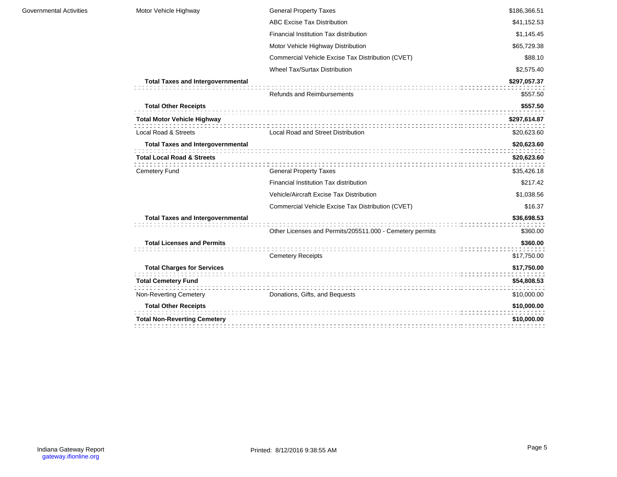| <b>Governmental Activities</b> | Motor Vehicle Highway                    | <b>General Property Taxes</b>                            | \$186,366.51 |
|--------------------------------|------------------------------------------|----------------------------------------------------------|--------------|
|                                |                                          | <b>ABC Excise Tax Distribution</b>                       | \$41,152.53  |
|                                |                                          | Financial Institution Tax distribution                   | \$1,145.45   |
|                                |                                          | Motor Vehicle Highway Distribution                       | \$65,729.38  |
|                                |                                          | Commercial Vehicle Excise Tax Distribution (CVET)        | \$88.10      |
|                                |                                          | Wheel Tax/Surtax Distribution                            | \$2,575.40   |
|                                | <b>Total Taxes and Intergovernmental</b> |                                                          | \$297,057.37 |
|                                |                                          | Refunds and Reimbursements                               | \$557.50     |
|                                | <b>Total Other Receipts</b>              |                                                          | \$557.50     |
|                                | <b>Total Motor Vehicle Highway</b>       |                                                          | \$297,614.87 |
|                                | Local Road & Streets                     | <b>Local Road and Street Distribution</b>                | \$20,623.60  |
|                                | <b>Total Taxes and Intergovernmental</b> |                                                          | \$20,623.60  |
|                                | <b>Total Local Road &amp; Streets</b>    |                                                          |              |
|                                |                                          |                                                          | \$20,623.60  |
|                                | Cemetery Fund                            | <b>General Property Taxes</b>                            | \$35,426.18  |
|                                |                                          | Financial Institution Tax distribution                   | \$217.42     |
|                                |                                          | Vehicle/Aircraft Excise Tax Distribution                 | \$1,038.56   |
|                                |                                          | Commercial Vehicle Excise Tax Distribution (CVET)        | \$16.37      |
|                                | <b>Total Taxes and Intergovernmental</b> |                                                          | \$36,698.53  |
|                                |                                          | Other Licenses and Permits/205511.000 - Cemetery permits | \$360.00     |
|                                | <b>Total Licenses and Permits</b>        |                                                          | \$360.00     |
|                                |                                          | <b>Cemetery Receipts</b>                                 | \$17,750.00  |
|                                | <b>Total Charges for Services</b>        |                                                          | \$17,750.00  |
|                                | <b>Total Cemetery Fund</b>               |                                                          | \$54,808.53  |
|                                | Non-Reverting Cemetery                   | Donations, Gifts, and Bequests                           | \$10,000.00  |
|                                | <b>Total Other Receipts</b>              |                                                          | \$10,000.00  |
|                                |                                          |                                                          |              |
|                                | <b>Total Non-Reverting Cemetery</b>      |                                                          | \$10,000.00  |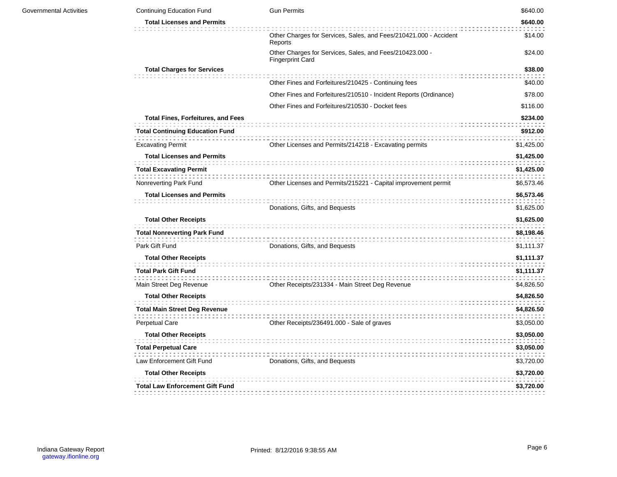| Governmental Activities | <b>Continuing Education Fund</b>          | <b>Gun Permits</b>                                                                  | \$640.00   |
|-------------------------|-------------------------------------------|-------------------------------------------------------------------------------------|------------|
|                         | <b>Total Licenses and Permits</b>         |                                                                                     | \$640.00   |
|                         |                                           | Other Charges for Services, Sales, and Fees/210421.000 - Accident<br>Reports        | \$14.00    |
|                         |                                           | Other Charges for Services, Sales, and Fees/210423.000 -<br><b>Fingerprint Card</b> | \$24.00    |
|                         | <b>Total Charges for Services</b>         |                                                                                     | \$38.00    |
|                         |                                           | Other Fines and Forfeitures/210425 - Continuing fees                                | \$40.00    |
|                         |                                           | Other Fines and Forfeitures/210510 - Incident Reports (Ordinance)                   | \$78.00    |
|                         |                                           | Other Fines and Forfeitures/210530 - Docket fees                                    | \$116.00   |
|                         | <b>Total Fines, Forfeitures, and Fees</b> |                                                                                     | \$234.00   |
|                         | <b>Total Continuing Education Fund</b>    |                                                                                     | \$912.00   |
|                         | <b>Excavating Permit</b>                  | Other Licenses and Permits/214218 - Excavating permits                              | \$1,425.00 |
|                         | <b>Total Licenses and Permits</b>         |                                                                                     | \$1,425.00 |
|                         | <b>Total Excavating Permit</b>            |                                                                                     | \$1,425.00 |
|                         | Nonreverting Park Fund                    | Other Licenses and Permits/215221 - Capital improvement permit                      | \$6,573.46 |
|                         | <b>Total Licenses and Permits</b>         |                                                                                     | \$6,573.46 |
|                         |                                           | Donations, Gifts, and Bequests                                                      | \$1,625.00 |
|                         | <b>Total Other Receipts</b>               |                                                                                     | \$1,625.00 |
|                         | <b>Total Nonreverting Park Fund</b>       |                                                                                     | \$8,198.46 |
|                         | Park Gift Fund                            | Donations, Gifts, and Bequests                                                      | \$1,111.37 |
|                         | <b>Total Other Receipts</b>               |                                                                                     | \$1,111.37 |
|                         | <b>Total Park Gift Fund</b>               |                                                                                     | \$1,111.37 |
|                         | Main Street Deg Revenue                   | Other Receipts/231334 - Main Street Deg Revenue                                     | \$4,826.50 |
|                         | <b>Total Other Receipts</b>               |                                                                                     | \$4,826.50 |
|                         | <b>Total Main Street Deg Revenue</b>      |                                                                                     | \$4,826.50 |
|                         | <b>Perpetual Care</b>                     | Other Receipts/236491.000 - Sale of graves                                          | \$3,050.00 |
|                         | <b>Total Other Receipts</b>               |                                                                                     | \$3,050.00 |
|                         | <b>Total Perpetual Care</b>               |                                                                                     | \$3,050.00 |
|                         | Law Enforcement Gift Fund                 | Donations, Gifts, and Bequests                                                      | \$3,720.00 |
|                         | <b>Total Other Receipts</b>               |                                                                                     | \$3,720.00 |
|                         | <b>Total Law Enforcement Gift Fund</b>    |                                                                                     | \$3,720.00 |
|                         |                                           |                                                                                     |            |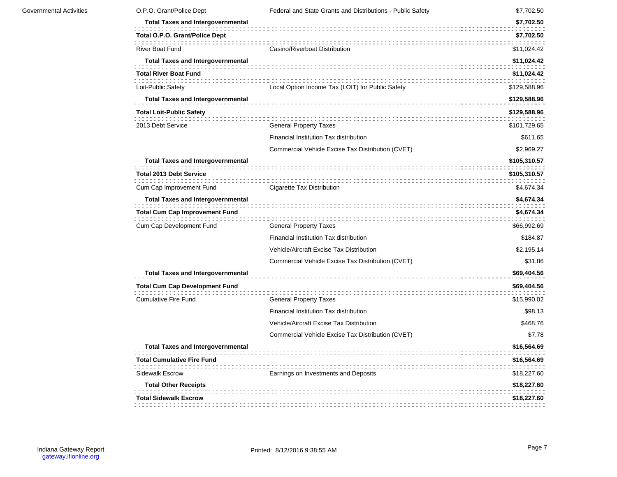| Governmental Activities | O.P.O. Grant/Police Dept                 | Federal and State Grants and Distributions - Public Safety | \$7,702.50   |
|-------------------------|------------------------------------------|------------------------------------------------------------|--------------|
|                         | <b>Total Taxes and Intergovernmental</b> | \$7,702.50                                                 |              |
|                         | <b>Total O.P.O. Grant/Police Dept</b>    | \$7,702.50                                                 |              |
|                         | River Boat Fund                          | Casino/Riverboat Distribution                              | \$11,024.42  |
|                         | <b>Total Taxes and Intergovernmental</b> | \$11,024.42                                                |              |
|                         | <b>Total River Boat Fund</b>             |                                                            | \$11,024.42  |
|                         | Loit-Public Safety                       | Local Option Income Tax (LOIT) for Public Safety           | \$129,588.96 |
|                         | <b>Total Taxes and Intergovernmental</b> |                                                            | \$129,588.96 |
|                         | <b>Total Loit-Public Safety</b>          |                                                            | \$129,588.96 |
|                         | 2013 Debt Service                        | <b>General Property Taxes</b>                              | \$101,729.65 |
|                         |                                          | Financial Institution Tax distribution                     | \$611.65     |
|                         |                                          | Commercial Vehicle Excise Tax Distribution (CVET)          | \$2,969.27   |
|                         | <b>Total Taxes and Intergovernmental</b> |                                                            | \$105,310.57 |
|                         | <b>Total 2013 Debt Service</b>           |                                                            | \$105,310.57 |
|                         | Cum Cap Improvement Fund                 | Cigarette Tax Distribution                                 | \$4,674.34   |
|                         | <b>Total Taxes and Intergovernmental</b> | \$4,674.34                                                 |              |
|                         | <b>Total Cum Cap Improvement Fund</b>    | \$4,674.34                                                 |              |
|                         | Cum Cap Development Fund                 | <b>General Property Taxes</b>                              | \$66,992.69  |
|                         |                                          | Financial Institution Tax distribution                     | \$184.87     |
|                         |                                          | Vehicle/Aircraft Excise Tax Distribution                   | \$2,195.14   |
|                         |                                          | Commercial Vehicle Excise Tax Distribution (CVET)          | \$31.86      |
|                         | <b>Total Taxes and Intergovernmental</b> | \$69,404.56                                                |              |
|                         | <b>Total Cum Cap Development Fund</b>    |                                                            | \$69,404.56  |
|                         | <b>Cumulative Fire Fund</b>              | <b>General Property Taxes</b>                              | \$15,990.02  |
|                         |                                          | Financial Institution Tax distribution                     | \$98.13      |
|                         |                                          | Vehicle/Aircraft Excise Tax Distribution                   | \$468.76     |
|                         |                                          | Commercial Vehicle Excise Tax Distribution (CVET)          | \$7.78       |
|                         | <b>Total Taxes and Intergovernmental</b> |                                                            | \$16,564.69  |
|                         | <b>Total Cumulative Fire Fund</b>        |                                                            | \$16,564.69  |
|                         | <b>Sidewalk Escrow</b>                   | Earnings on Investments and Deposits                       | \$18,227.60  |
|                         | <b>Total Other Receipts</b>              |                                                            | \$18,227.60  |
|                         | <b>Total Sidewalk Escrow</b>             |                                                            | \$18,227.60  |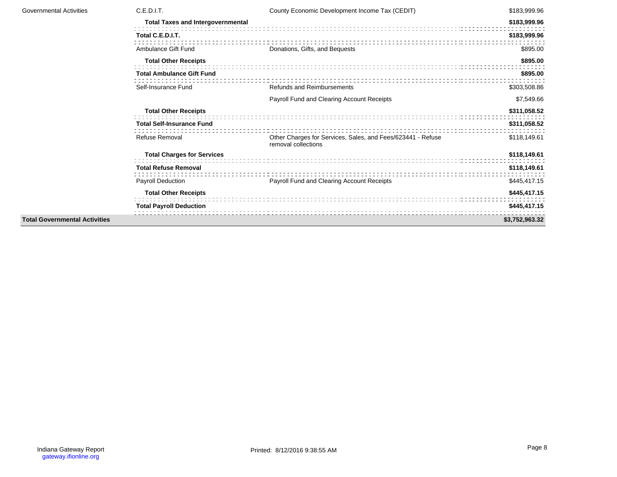| Governmental Activities              | C.E.D.I.T.                               | County Economic Development Income Tax (CEDIT)                                     | \$183,999.96   |
|--------------------------------------|------------------------------------------|------------------------------------------------------------------------------------|----------------|
|                                      | <b>Total Taxes and Intergovernmental</b> |                                                                                    | \$183,999.96   |
|                                      | Total C.E.D.I.T.                         |                                                                                    | \$183,999.96   |
|                                      | Ambulance Gift Fund                      | Donations, Gifts, and Bequests                                                     | \$895.00       |
|                                      | <b>Total Other Receipts</b>              |                                                                                    | \$895.00       |
|                                      | <b>Total Ambulance Gift Fund</b>         |                                                                                    | \$895.00       |
|                                      | Self-Insurance Fund                      | <b>Refunds and Reimbursements</b>                                                  | \$303,508.86   |
|                                      |                                          | Payroll Fund and Clearing Account Receipts                                         | \$7,549.66     |
|                                      | <b>Total Other Receipts</b>              |                                                                                    | \$311,058.52   |
|                                      | <b>Total Self-Insurance Fund</b>         |                                                                                    | \$311,058.52   |
|                                      | <b>Refuse Removal</b>                    | Other Charges for Services, Sales, and Fees/623441 - Refuse<br>removal collections | \$118,149.61   |
|                                      | <b>Total Charges for Services</b>        |                                                                                    | \$118,149.61   |
|                                      | <b>Total Refuse Removal</b>              |                                                                                    | \$118,149.61   |
|                                      | Payroll Deduction                        | Payroll Fund and Clearing Account Receipts                                         | \$445,417.15   |
|                                      | <b>Total Other Receipts</b>              |                                                                                    | \$445,417.15   |
|                                      | <b>Total Payroll Deduction</b>           |                                                                                    | \$445,417.15   |
| <b>Total Governmental Activities</b> |                                          |                                                                                    | \$3,752,963.32 |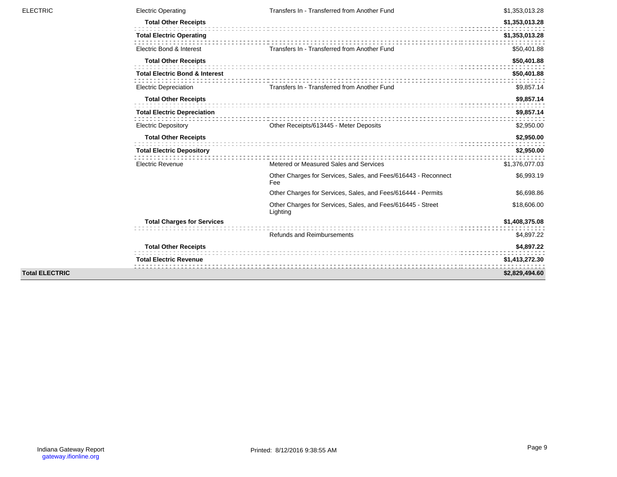| <b>ELECTRIC</b> |
|-----------------|
|-----------------|

| <b>ELECTRIC</b>       | <b>Electric Operating</b>                 | Transfers In - Transferred from Another Fund                            | \$1,353,013.28 |
|-----------------------|-------------------------------------------|-------------------------------------------------------------------------|----------------|
|                       | <b>Total Other Receipts</b>               |                                                                         | \$1,353,013.28 |
|                       | <b>Total Electric Operating</b>           |                                                                         | \$1,353,013.28 |
|                       | Electric Bond & Interest                  | Transfers In - Transferred from Another Fund                            | \$50,401.88    |
|                       | <b>Total Other Receipts</b>               |                                                                         | \$50,401.88    |
|                       | <b>Total Electric Bond &amp; Interest</b> |                                                                         | \$50,401.88    |
|                       | <b>Electric Depreciation</b>              | Transfers In - Transferred from Another Fund                            | \$9,857.14     |
|                       | <b>Total Other Receipts</b>               |                                                                         | \$9,857.14     |
|                       | <b>Total Electric Depreciation</b>        |                                                                         | \$9,857.14     |
|                       | <b>Electric Depository</b>                | Other Receipts/613445 - Meter Deposits                                  | \$2,950.00     |
|                       | <b>Total Other Receipts</b>               |                                                                         | \$2,950.00     |
|                       | <b>Total Electric Depository</b>          |                                                                         | \$2,950.00     |
|                       | <b>Electric Revenue</b>                   | Metered or Measured Sales and Services                                  | \$1,376,077.03 |
|                       |                                           | Other Charges for Services, Sales, and Fees/616443 - Reconnect<br>Fee   | \$6,993.19     |
|                       |                                           | Other Charges for Services, Sales, and Fees/616444 - Permits            | \$6,698.86     |
|                       |                                           | Other Charges for Services, Sales, and Fees/616445 - Street<br>Lighting | \$18,606.00    |
|                       | <b>Total Charges for Services</b>         |                                                                         | \$1,408,375.08 |
|                       |                                           | <b>Refunds and Reimbursements</b>                                       | \$4,897.22     |
|                       | <b>Total Other Receipts</b>               |                                                                         | \$4,897.22     |
|                       | <b>Total Electric Revenue</b>             |                                                                         | \$1,413,272.30 |
| <b>Total ELECTRIC</b> |                                           |                                                                         | \$2,829,494.60 |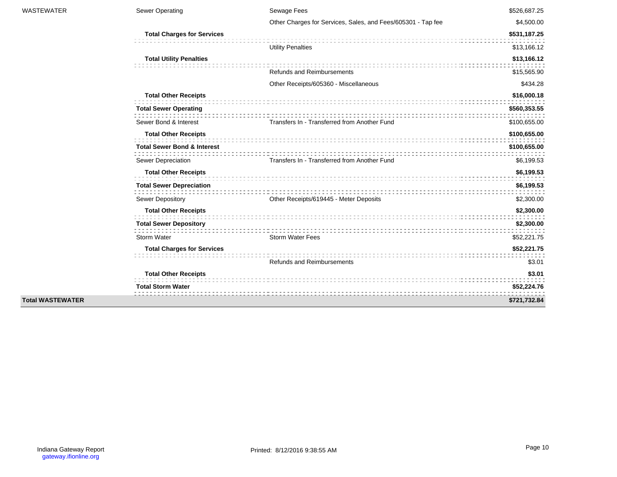| WASTEWATER              | Sewer Operating                        | Sewage Fees                                                  | \$526,687.25             |
|-------------------------|----------------------------------------|--------------------------------------------------------------|--------------------------|
|                         |                                        | Other Charges for Services, Sales, and Fees/605301 - Tap fee | \$4,500.00               |
|                         | <b>Total Charges for Services</b>      |                                                              | \$531,187.25             |
|                         |                                        | <b>Utility Penalties</b>                                     | \$13,166.12              |
|                         | <b>Total Utility Penalties</b>         |                                                              | \$13,166.12              |
|                         |                                        | <b>Refunds and Reimbursements</b>                            | \$15,565.90              |
|                         |                                        | Other Receipts/605360 - Miscellaneous                        | \$434.28                 |
|                         | <b>Total Other Receipts</b>            |                                                              | \$16,000.18              |
|                         | <b>Total Sewer Operating</b>           |                                                              | \$560,353.55             |
|                         | Sewer Bond & Interest                  | Transfers In - Transferred from Another Fund                 | \$100,655.00             |
|                         | <b>Total Other Receipts</b>            |                                                              | \$100,655.00             |
|                         |                                        |                                                              |                          |
|                         | <b>Total Sewer Bond &amp; Interest</b> |                                                              | \$100,655.00             |
|                         | Sewer Depreciation                     | Transfers In - Transferred from Another Fund                 | \$6,199.53               |
|                         | <b>Total Other Receipts</b>            |                                                              | \$6,199.53               |
|                         | <b>Total Sewer Depreciation</b>        |                                                              | \$6,199.53               |
|                         | Sewer Depository                       |                                                              |                          |
|                         | <b>Total Other Receipts</b>            | Other Receipts/619445 - Meter Deposits                       | \$2,300.00<br>\$2,300.00 |
|                         |                                        |                                                              |                          |
|                         | <b>Total Sewer Depository</b>          |                                                              | \$2,300.00               |
|                         | Storm Water                            | <b>Storm Water Fees</b>                                      | \$52,221.75              |
|                         | <b>Total Charges for Services</b>      |                                                              | \$52,221.75              |
|                         |                                        | <b>Refunds and Reimbursements</b>                            | \$3.01                   |
|                         | <b>Total Other Receipts</b>            |                                                              | \$3.01                   |
|                         | <b>Total Storm Water</b>               |                                                              | \$52,224.76              |
| <b>Total WASTEWATER</b> |                                        |                                                              |                          |
|                         |                                        |                                                              | \$721,732.84             |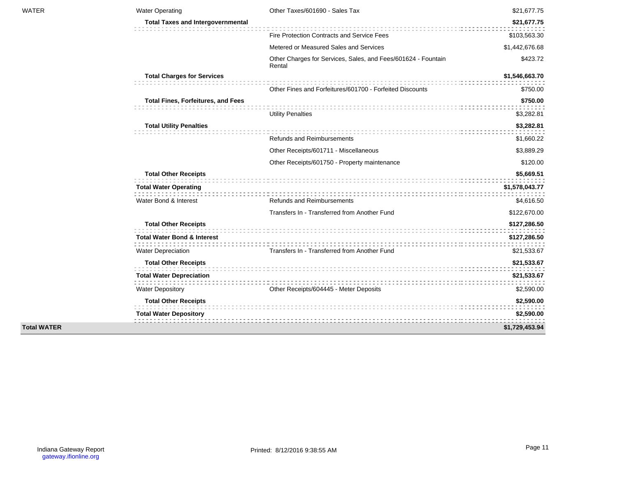| <b>Total Taxes and Intergovernmental</b>  |                                                                         | \$21,677.75    |
|-------------------------------------------|-------------------------------------------------------------------------|----------------|
|                                           | Fire Protection Contracts and Service Fees                              | \$103,563.30   |
|                                           | Metered or Measured Sales and Services                                  | \$1,442,676.68 |
|                                           | Other Charges for Services, Sales, and Fees/601624 - Fountain<br>Rental | \$423.72       |
| <b>Total Charges for Services</b>         |                                                                         | \$1,546,663.70 |
|                                           | Other Fines and Forfeitures/601700 - Forfeited Discounts                | \$750.00       |
| <b>Total Fines, Forfeitures, and Fees</b> |                                                                         | \$750.00       |
|                                           | <b>Utility Penalties</b>                                                | \$3,282.81     |
| <b>Total Utility Penalties</b>            |                                                                         | \$3,282.81     |
|                                           | <b>Refunds and Reimbursements</b>                                       | \$1,660.22     |
|                                           | Other Receipts/601711 - Miscellaneous                                   | \$3,889.29     |
|                                           | Other Receipts/601750 - Property maintenance                            | \$120.00       |
| <b>Total Other Receipts</b>               |                                                                         | \$5,669.51     |
| <b>Total Water Operating</b>              |                                                                         | \$1,578,043.77 |
| Water Bond & Interest                     | Refunds and Reimbursements                                              | \$4,616.50     |
|                                           | Transfers In - Transferred from Another Fund                            | \$122,670.00   |
| <b>Total Other Receipts</b>               |                                                                         | \$127,286.50   |
| <b>Total Water Bond &amp; Interest</b>    |                                                                         | \$127,286.50   |
| <b>Water Depreciation</b>                 | Transfers In - Transferred from Another Fund                            | \$21,533.67    |
| <b>Total Other Receipts</b>               |                                                                         | \$21,533.67    |
| <b>Total Water Depreciation</b>           |                                                                         | \$21,533.67    |
| <b>Water Depository</b>                   | Other Receipts/604445 - Meter Deposits                                  | \$2,590.00     |
| <b>Total Other Receipts</b>               |                                                                         | \$2,590.00     |
| <b>Total Water Depository</b>             |                                                                         | \$2,590.00     |
| <b>Total WATER</b>                        |                                                                         | \$1,729,453.94 |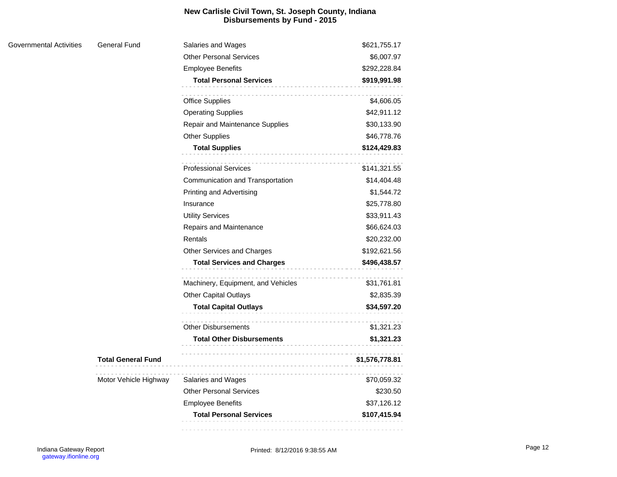## **New Carlisle Civil Town, St. Joseph County, Indiana Disbursements by Fund - 2015**

| Governmental Activities | <b>General Fund</b>       | Salaries and Wages                 | \$621,755.17   |
|-------------------------|---------------------------|------------------------------------|----------------|
|                         |                           | <b>Other Personal Services</b>     | \$6,007.97     |
|                         |                           | <b>Employee Benefits</b>           | \$292,228.84   |
|                         |                           | <b>Total Personal Services</b>     | \$919,991.98   |
|                         |                           | <b>Office Supplies</b>             | \$4,606.05     |
|                         |                           | <b>Operating Supplies</b>          | \$42,911.12    |
|                         |                           | Repair and Maintenance Supplies    | \$30,133.90    |
|                         |                           | <b>Other Supplies</b>              | \$46,778.76    |
|                         |                           | <b>Total Supplies</b>              | \$124,429.83   |
|                         |                           | <b>Professional Services</b>       | \$141,321.55   |
|                         |                           | Communication and Transportation   | \$14,404.48    |
|                         |                           | Printing and Advertising           | \$1,544.72     |
|                         |                           | Insurance                          | \$25,778.80    |
|                         |                           | <b>Utility Services</b>            | \$33,911.43    |
|                         |                           | Repairs and Maintenance            | \$66,624.03    |
|                         |                           | Rentals                            | \$20,232.00    |
|                         |                           | Other Services and Charges         | \$192,621.56   |
|                         |                           | <b>Total Services and Charges</b>  | \$496,438.57   |
|                         |                           |                                    |                |
|                         |                           | Machinery, Equipment, and Vehicles | \$31,761.81    |
|                         |                           | <b>Other Capital Outlays</b>       | \$2,835.39     |
|                         |                           | <b>Total Capital Outlays</b>       | \$34,597.20    |
|                         |                           | <b>Other Disbursements</b>         | \$1,321.23     |
|                         |                           | <b>Total Other Disbursements</b>   | \$1,321.23     |
|                         | <b>Total General Fund</b> |                                    | \$1,576,778.81 |
|                         | Motor Vehicle Highway     | Salaries and Wages                 | \$70,059.32    |
|                         |                           | <b>Other Personal Services</b>     | \$230.50       |
|                         |                           | <b>Employee Benefits</b>           | \$37,126.12    |
|                         |                           | <b>Total Personal Services</b>     | \$107,415.94   |
|                         |                           |                                    |                |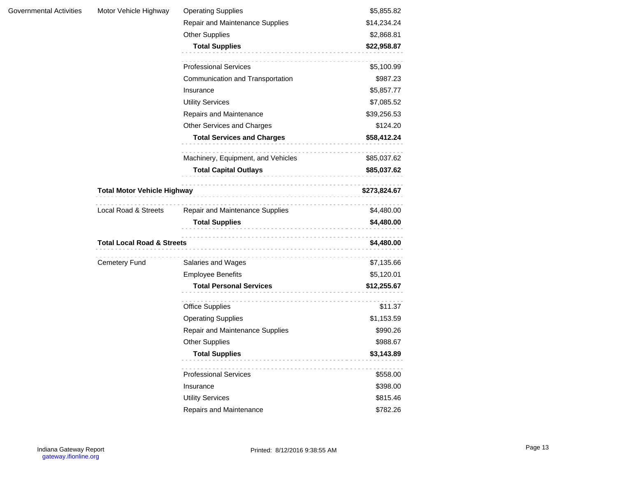| Governmental Activities | Motor Vehicle Highway                 | <b>Operating Supplies</b>          | \$5,855.82  |
|-------------------------|---------------------------------------|------------------------------------|-------------|
|                         |                                       | Repair and Maintenance Supplies    | \$14,234.24 |
|                         |                                       | <b>Other Supplies</b>              | \$2,868.81  |
|                         |                                       | <b>Total Supplies</b><br>.         | \$22,958.87 |
|                         |                                       | <b>Professional Services</b>       | \$5,100.99  |
|                         |                                       | Communication and Transportation   | \$987.23    |
|                         |                                       | Insurance                          | \$5,857.77  |
|                         |                                       | <b>Utility Services</b>            | \$7,085.52  |
|                         |                                       | Repairs and Maintenance            | \$39,256.53 |
|                         |                                       | Other Services and Charges         | \$124.20    |
|                         |                                       | <b>Total Services and Charges</b>  | \$58,412.24 |
|                         |                                       | Machinery, Equipment, and Vehicles | \$85,037.62 |
|                         |                                       | <b>Total Capital Outlays</b>       | \$85,037.62 |
|                         | <b>Total Motor Vehicle Highway</b>    | \$273,824.67                       |             |
|                         | Local Road & Streets                  | Repair and Maintenance Supplies    | \$4,480.00  |
|                         |                                       | <b>Total Supplies</b>              | \$4,480.00  |
|                         |                                       |                                    |             |
|                         | <b>Total Local Road &amp; Streets</b> |                                    | \$4,480.00  |
|                         | Cemetery Fund                         | Salaries and Wages                 | \$7,135.66  |
|                         |                                       | <b>Employee Benefits</b>           | \$5,120.01  |
|                         |                                       | <b>Total Personal Services</b>     | \$12,255.67 |
|                         |                                       | <b>Office Supplies</b>             | \$11.37     |
|                         |                                       | <b>Operating Supplies</b>          | \$1,153.59  |
|                         |                                       | Repair and Maintenance Supplies    | \$990.26    |
|                         |                                       | <b>Other Supplies</b>              | \$988.67    |
|                         |                                       | <b>Total Supplies</b>              | \$3,143.89  |
|                         |                                       | <b>Professional Services</b>       | \$558.00    |
|                         |                                       | Insurance                          | \$398.00    |
|                         |                                       | <b>Utility Services</b>            | \$815.46    |
|                         |                                       | Repairs and Maintenance            | \$782.26    |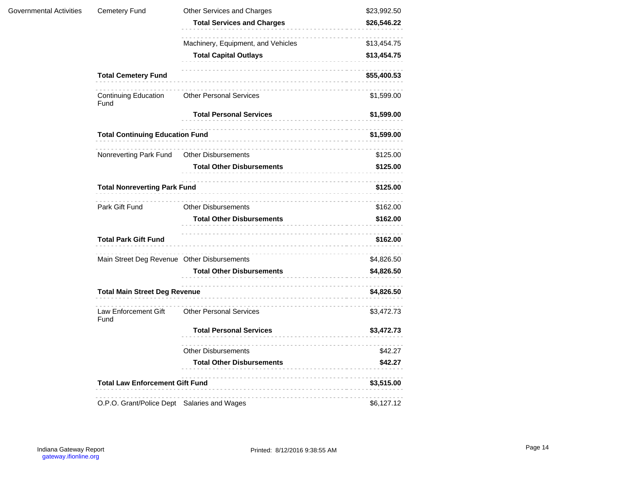| Governmental Activities | Cemetery Fund                               | Other Services and Charges         | \$23,992.50 |
|-------------------------|---------------------------------------------|------------------------------------|-------------|
|                         |                                             | <b>Total Services and Charges</b>  | \$26,546.22 |
|                         |                                             | Machinery, Equipment, and Vehicles | \$13,454.75 |
|                         |                                             | <b>Total Capital Outlays</b>       | \$13,454.75 |
|                         | <b>Total Cemetery Fund</b>                  |                                    | \$55,400.53 |
|                         | <b>Continuing Education</b><br>Fund         | <b>Other Personal Services</b>     | \$1,599.00  |
|                         |                                             | <b>Total Personal Services</b>     | \$1,599.00  |
|                         | <b>Total Continuing Education Fund</b>      |                                    | \$1,599.00  |
|                         | Nonreverting Park Fund                      | <b>Other Disbursements</b>         | \$125.00    |
|                         |                                             | <b>Total Other Disbursements</b>   | \$125.00    |
|                         | <b>Total Nonreverting Park Fund</b>         | \$125.00                           |             |
|                         | Park Gift Fund                              | <b>Other Disbursements</b>         | \$162.00    |
|                         |                                             | <b>Total Other Disbursements</b>   | \$162.00    |
|                         | <b>Total Park Gift Fund</b>                 |                                    | \$162.00    |
|                         | Main Street Deg Revenue Other Disbursements |                                    | \$4,826.50  |
|                         |                                             | <b>Total Other Disbursements</b>   | \$4,826.50  |
|                         | <b>Total Main Street Deg Revenue</b>        |                                    | \$4,826.50  |
|                         | Law Enforcement Gift<br>Fund                | <b>Other Personal Services</b>     | \$3,472.73  |
|                         |                                             | <b>Total Personal Services</b>     | \$3,472.73  |
|                         |                                             | <b>Other Disbursements</b>         | \$42.27     |
|                         |                                             | <b>Total Other Disbursements</b>   | \$42.27     |
|                         | <b>Total Law Enforcement Gift Fund</b>      |                                    | \$3,515.00  |
|                         | O.P.O. Grant/Police Dept Salaries and Wages |                                    | \$6,127.12  |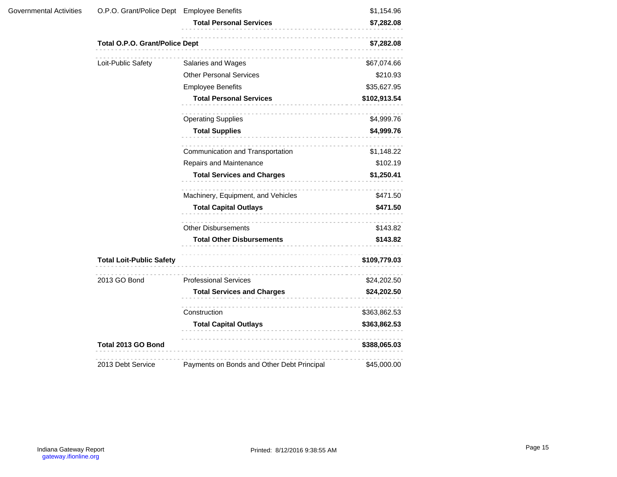| Governmental Activities | O.P.O. Grant/Police Dept Employee Benefits | <b>Total Personal Services</b>             | \$1,154.96<br>\$7,282.08 |
|-------------------------|--------------------------------------------|--------------------------------------------|--------------------------|
|                         | <b>Total O.P.O. Grant/Police Dept</b>      | \$7,282.08                                 |                          |
|                         | Loit-Public Safety                         | Salaries and Wages                         | \$67,074.66              |
|                         |                                            | <b>Other Personal Services</b>             | \$210.93                 |
|                         |                                            | <b>Employee Benefits</b>                   | \$35,627.95              |
|                         |                                            | <b>Total Personal Services</b>             | \$102,913.54             |
|                         |                                            | <b>Operating Supplies</b>                  | \$4,999.76               |
|                         |                                            | <b>Total Supplies</b><br>.                 | \$4,999.76               |
|                         |                                            | Communication and Transportation           | \$1,148.22               |
|                         |                                            | Repairs and Maintenance                    | \$102.19                 |
|                         |                                            | <b>Total Services and Charges</b>          | \$1,250.41               |
|                         |                                            | Machinery, Equipment, and Vehicles         | \$471.50                 |
|                         |                                            | <b>Total Capital Outlays</b>               | \$471.50                 |
|                         |                                            | <b>Other Disbursements</b>                 | \$143.82                 |
|                         |                                            | <b>Total Other Disbursements</b>           | \$143.82                 |
|                         | <b>Total Loit-Public Safety</b>            |                                            | \$109,779.03             |
|                         | 2013 GO Bond                               | <b>Professional Services</b>               | \$24,202.50              |
|                         |                                            | <b>Total Services and Charges</b>          | \$24,202.50              |
|                         |                                            | Construction                               | \$363,862.53             |
|                         |                                            | <b>Total Capital Outlays</b><br>.          | \$363,862.53             |
|                         | Total 2013 GO Bond                         |                                            | \$388,065.03             |
|                         | 2013 Debt Service                          | Payments on Bonds and Other Debt Principal | \$45,000.00              |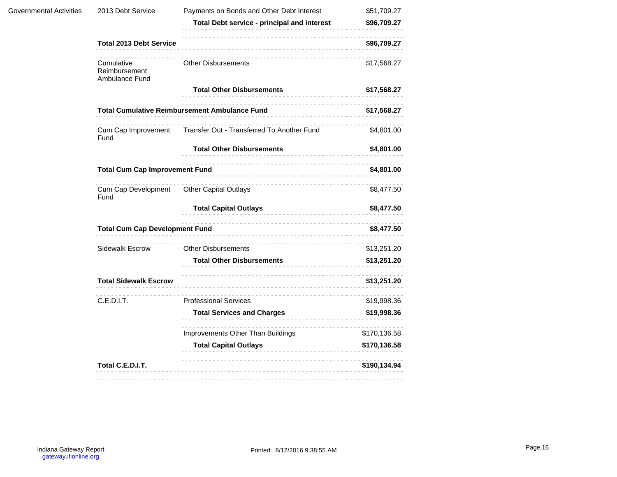| Governmental Activities | 2013 Debt Service                             | Payments on Bonds and Other Debt Interest     | \$51,709.27  |
|-------------------------|-----------------------------------------------|-----------------------------------------------|--------------|
|                         |                                               | Total Debt service - principal and interest   | \$96,709.27  |
|                         | <b>Total 2013 Debt Service</b>                |                                               | \$96,709.27  |
|                         | Cumulative<br>Reimbursement<br>Ambulance Fund | <b>Other Disbursements</b>                    | \$17,568.27  |
|                         |                                               | <b>Total Other Disbursements</b>              | \$17,568.27  |
|                         |                                               | Total Cumulative Reimbursement Ambulance Fund | \$17,568.27  |
|                         | Cum Cap Improvement<br>Fund                   | Transfer Out - Transferred To Another Fund    | \$4,801.00   |
|                         |                                               | <b>Total Other Disbursements</b>              | \$4,801.00   |
|                         | <b>Total Cum Cap Improvement Fund</b>         |                                               | \$4,801.00   |
|                         | Cum Cap Development<br>Fund                   | <b>Other Capital Outlays</b>                  | \$8,477.50   |
|                         |                                               | <b>Total Capital Outlays</b>                  | \$8,477.50   |
|                         | <b>Total Cum Cap Development Fund</b>         |                                               | \$8,477.50   |
|                         | Sidewalk Escrow                               | <b>Other Disbursements</b>                    | \$13,251.20  |
|                         |                                               | <b>Total Other Disbursements</b>              | \$13,251.20  |
|                         | <b>Total Sidewalk Escrow</b>                  |                                               | \$13,251.20  |
|                         | C.E.D.I.T.                                    | <b>Professional Services</b>                  | \$19,998.36  |
|                         |                                               | <b>Total Services and Charges</b>             | \$19,998.36  |
|                         |                                               | Improvements Other Than Buildings             | \$170,136.58 |
|                         |                                               | <b>Total Capital Outlays</b>                  | \$170,136.58 |
|                         | Total C.E.D.I.T.                              |                                               | \$190,134.94 |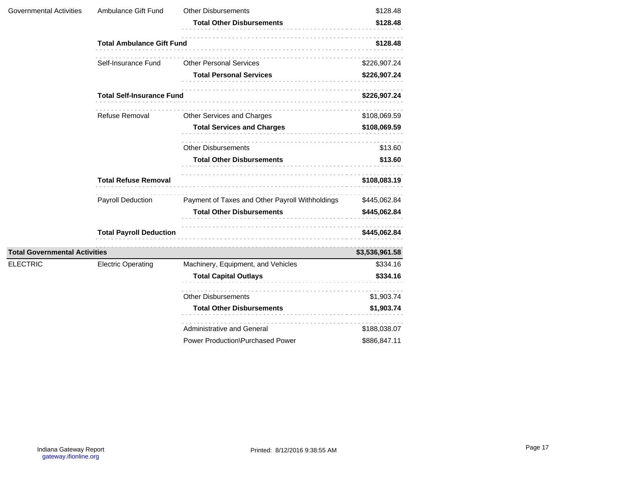| Governmental Activities              | Ambulance Gift Fund              | <b>Other Disbursements</b><br><b>Total Other Disbursements</b> | \$128.48<br>\$128.48 |
|--------------------------------------|----------------------------------|----------------------------------------------------------------|----------------------|
|                                      | <b>Total Ambulance Gift Fund</b> | \$128.48                                                       |                      |
|                                      | Self-Insurance Fund              | <b>Other Personal Services</b>                                 | \$226,907.24         |
|                                      |                                  | <b>Total Personal Services</b>                                 | \$226,907.24         |
|                                      | <b>Total Self-Insurance Fund</b> |                                                                | \$226,907.24         |
|                                      | Refuse Removal                   | Other Services and Charges                                     | \$108,069.59         |
|                                      |                                  | <b>Total Services and Charges</b>                              | \$108,069.59         |
|                                      |                                  | <b>Other Disbursements</b>                                     | \$13.60              |
|                                      |                                  | <b>Total Other Disbursements</b>                               | \$13.60              |
|                                      | <b>Total Refuse Removal</b>      |                                                                | \$108,083.19         |
|                                      | Payroll Deduction                | Payment of Taxes and Other Payroll Withholdings                | \$445,062.84         |
|                                      |                                  | <b>Total Other Disbursements</b>                               | \$445,062.84         |
|                                      | <b>Total Payroll Deduction</b>   |                                                                | \$445,062.84         |
| <b>Total Governmental Activities</b> |                                  |                                                                | \$3,536,961.58       |
| <b>ELECTRIC</b>                      | <b>Electric Operating</b>        | Machinery, Equipment, and Vehicles                             | \$334.16             |
|                                      |                                  | <b>Total Capital Outlays</b>                                   | \$334.16             |
|                                      |                                  | <b>Other Disbursements</b>                                     | \$1,903.74           |
|                                      |                                  | <b>Total Other Disbursements</b>                               | \$1,903.74           |
|                                      |                                  | Administrative and General                                     | \$188,038.07         |
|                                      |                                  | Power Production\Purchased Power                               | \$886,847.11         |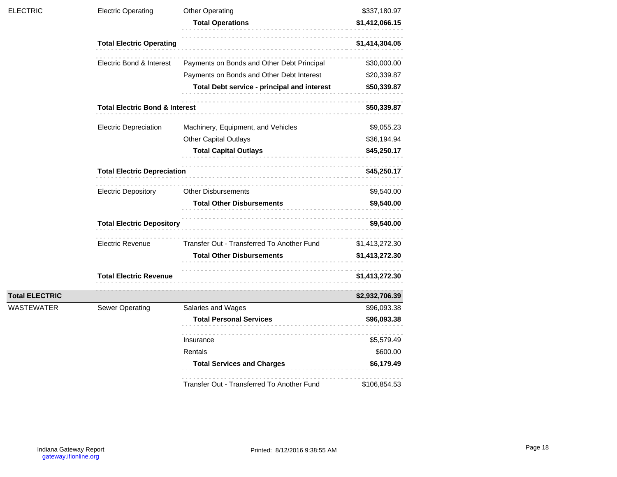| <b>ELECTRIC</b>       | <b>Electric Operating</b>                 | <b>Other Operating</b><br><b>Total Operations</b> | \$337,180.97<br>\$1,412,066.15 |
|-----------------------|-------------------------------------------|---------------------------------------------------|--------------------------------|
|                       | <b>Total Electric Operating</b>           |                                                   | \$1,414,304.05                 |
|                       | Electric Bond & Interest                  | Payments on Bonds and Other Debt Principal        | \$30,000.00                    |
|                       |                                           | Payments on Bonds and Other Debt Interest         | \$20,339.87                    |
|                       |                                           | Total Debt service - principal and interest       | \$50,339.87                    |
|                       | <b>Total Electric Bond &amp; Interest</b> |                                                   | \$50,339.87                    |
|                       | <b>Electric Depreciation</b>              | Machinery, Equipment, and Vehicles                | \$9,055.23                     |
|                       |                                           | <b>Other Capital Outlays</b>                      | \$36,194.94                    |
|                       |                                           | <b>Total Capital Outlays</b>                      | \$45,250.17                    |
|                       | <b>Total Electric Depreciation</b>        |                                                   | \$45,250.17                    |
|                       | <b>Electric Depository</b>                | <b>Other Disbursements</b>                        | \$9,540.00                     |
|                       |                                           | <b>Total Other Disbursements</b>                  | \$9,540.00                     |
|                       | <b>Total Electric Depository</b>          |                                                   | \$9,540.00                     |
|                       | <b>Electric Revenue</b>                   | Transfer Out - Transferred To Another Fund        | \$1,413,272.30                 |
|                       |                                           | <b>Total Other Disbursements</b>                  | \$1,413,272.30                 |
|                       | <b>Total Electric Revenue</b>             |                                                   | \$1,413,272.30                 |
| <b>Total ELECTRIC</b> |                                           |                                                   | \$2,932,706.39                 |
| WASTEWATER            | Sewer Operating                           | Salaries and Wages                                | \$96,093.38                    |
|                       |                                           | <b>Total Personal Services</b>                    | \$96,093.38                    |
|                       |                                           | Insurance                                         | \$5,579.49                     |
|                       |                                           | Rentals                                           | \$600.00                       |
|                       |                                           | <b>Total Services and Charges</b>                 | \$6,179.49                     |
|                       |                                           | Transfer Out - Transferred To Another Fund        | \$106,854.53                   |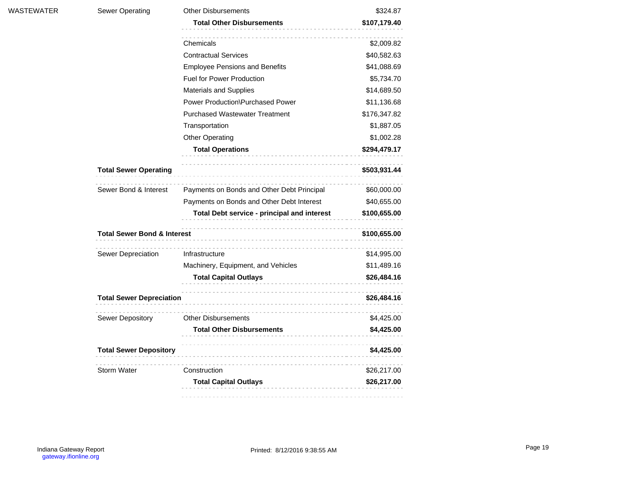| WASTEWATER | <b>Sewer Operating</b>                 | <b>Other Disbursements</b>                  | \$324.87     |
|------------|----------------------------------------|---------------------------------------------|--------------|
|            |                                        | <b>Total Other Disbursements</b>            | \$107,179.40 |
|            |                                        | Chemicals                                   | \$2,009.82   |
|            |                                        | <b>Contractual Services</b>                 | \$40,582.63  |
|            |                                        | <b>Employee Pensions and Benefits</b>       | \$41,088.69  |
|            |                                        | <b>Fuel for Power Production</b>            | \$5,734.70   |
|            |                                        | <b>Materials and Supplies</b>               | \$14,689.50  |
|            |                                        | <b>Power Production\Purchased Power</b>     | \$11,136.68  |
|            |                                        | <b>Purchased Wastewater Treatment</b>       | \$176,347.82 |
|            |                                        | Transportation                              | \$1,887.05   |
|            |                                        | <b>Other Operating</b>                      | \$1,002.28   |
|            |                                        | <b>Total Operations</b>                     | \$294,479.17 |
|            | <b>Total Sewer Operating</b>           |                                             | \$503,931.44 |
|            | Sewer Bond & Interest                  | Payments on Bonds and Other Debt Principal  | \$60,000.00  |
|            |                                        | Payments on Bonds and Other Debt Interest   | \$40,655.00  |
|            |                                        | Total Debt service - principal and interest | \$100,655.00 |
|            | <b>Total Sewer Bond &amp; Interest</b> |                                             | \$100,655.00 |
|            | Sewer Depreciation                     | Infrastructure                              | \$14,995.00  |
|            |                                        | Machinery, Equipment, and Vehicles          | \$11,489.16  |
|            |                                        | <b>Total Capital Outlays</b>                | \$26,484.16  |
|            | <b>Total Sewer Depreciation</b>        | .                                           | \$26,484.16  |
|            | Sewer Depository                       | <b>Other Disbursements</b>                  | \$4,425.00   |
|            |                                        | <b>Total Other Disbursements</b>            | \$4,425.00   |
|            | <b>Total Sewer Depository</b>          |                                             | \$4,425.00   |
|            | Storm Water                            | Construction                                | \$26,217.00  |
|            |                                        | <b>Total Capital Outlays</b>                | \$26,217.00  |
|            |                                        |                                             |              |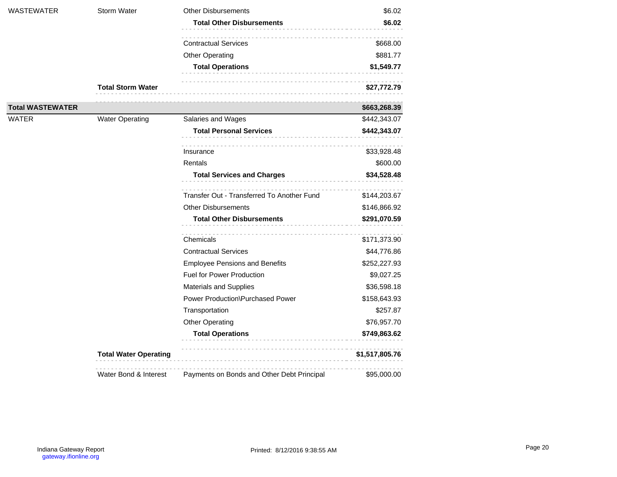|                         | Water Bond & Interest        | Payments on Bonds and Other Debt Principal | \$95,000.00    |
|-------------------------|------------------------------|--------------------------------------------|----------------|
|                         | <b>Total Water Operating</b> |                                            | \$1,517,805.76 |
|                         |                              | <b>Total Operations</b>                    | \$749,863.62   |
|                         |                              | <b>Other Operating</b>                     | \$76,957.70    |
|                         |                              | Transportation                             | \$257.87       |
|                         |                              | Power Production\Purchased Power           | \$158,643.93   |
|                         |                              | <b>Materials and Supplies</b>              | \$36,598.18    |
|                         |                              | <b>Fuel for Power Production</b>           | \$9,027.25     |
|                         |                              | <b>Employee Pensions and Benefits</b>      | \$252,227.93   |
|                         |                              | <b>Contractual Services</b>                | \$44,776.86    |
|                         |                              | Chemicals                                  | \$171,373.90   |
|                         |                              | <b>Total Other Disbursements</b>           | \$291,070.59   |
|                         |                              | <b>Other Disbursements</b>                 | \$146,866.92   |
|                         |                              | Transfer Out - Transferred To Another Fund | \$144,203.67   |
|                         |                              | <b>Total Services and Charges</b>          | \$34,528.48    |
|                         |                              | Rentals                                    | \$600.00       |
|                         |                              | Insurance                                  | \$33,928.48    |
|                         |                              | <b>Total Personal Services</b>             | \$442,343.07   |
| <b>WATER</b>            | <b>Water Operating</b>       | Salaries and Wages                         | \$442,343.07   |
| <b>Total WASTEWATER</b> |                              |                                            | \$663,268.39   |
|                         | <b>Total Storm Water</b>     |                                            | \$27,772.79    |
|                         |                              | <b>Total Operations</b><br>.               | \$1,549.77     |
|                         |                              | <b>Other Operating</b>                     | \$881.77       |
|                         |                              | <b>Contractual Services</b>                | \$668.00       |
|                         |                              | <b>Total Other Disbursements</b>           | \$6.02         |
| WASTEWATER              | Storm Water                  | <b>Other Disbursements</b>                 | \$6.02         |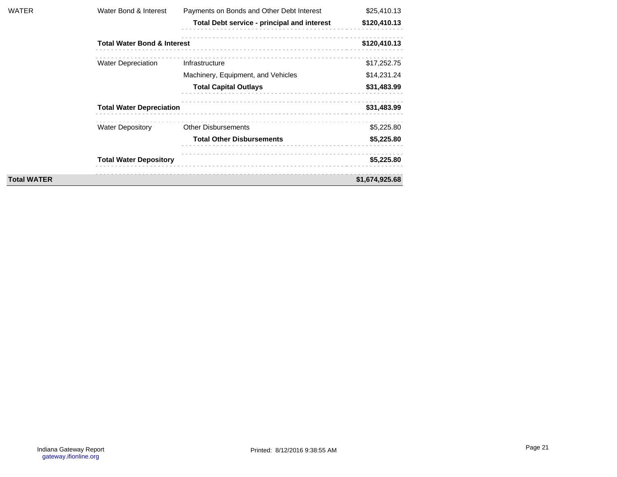| WATER              | Water Bond & Interest                  | Payments on Bonds and Other Debt Interest   | \$25,410.13    |
|--------------------|----------------------------------------|---------------------------------------------|----------------|
|                    |                                        | Total Debt service - principal and interest | \$120,410.13   |
|                    | <b>Total Water Bond &amp; Interest</b> |                                             | \$120,410.13   |
|                    | <b>Water Depreciation</b>              | Infrastructure                              | \$17,252.75    |
|                    |                                        | Machinery, Equipment, and Vehicles          | \$14,231.24    |
|                    |                                        | <b>Total Capital Outlays</b>                | \$31,483.99    |
|                    | <b>Total Water Depreciation</b>        |                                             | \$31,483.99    |
|                    | <b>Water Depository</b>                | <b>Other Disbursements</b>                  | \$5,225.80     |
|                    |                                        | <b>Total Other Disbursements</b>            | \$5,225.80     |
|                    | <b>Total Water Depository</b>          |                                             | \$5,225.80     |
| <b>Total WATER</b> |                                        |                                             | \$1,674,925.68 |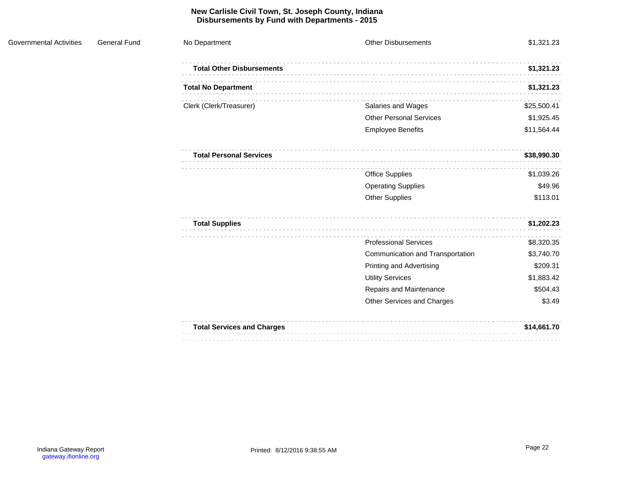#### **New Carlisle Civil Town, St. Joseph County, Indiana Disbursements by Fund with Departments - 2015**

| Governmental Activities | <b>General Fund</b> | No Department                     | <b>Other Disbursements</b>       | \$1,321.23  |
|-------------------------|---------------------|-----------------------------------|----------------------------------|-------------|
|                         |                     | <b>Total Other Disbursements</b>  |                                  | \$1,321.23  |
|                         |                     | <b>Total No Department</b>        |                                  | \$1,321.23  |
|                         |                     | Clerk (Clerk/Treasurer)           | Salaries and Wages               | \$25,500.41 |
|                         |                     |                                   | <b>Other Personal Services</b>   | \$1,925.45  |
|                         |                     |                                   | <b>Employee Benefits</b>         | \$11,564.44 |
|                         |                     | <b>Total Personal Services</b>    |                                  | \$38,990.30 |
|                         |                     |                                   | <b>Office Supplies</b>           | \$1,039.26  |
|                         |                     |                                   | <b>Operating Supplies</b>        | \$49.96     |
|                         |                     |                                   | <b>Other Supplies</b>            | \$113.01    |
|                         |                     | <b>Total Supplies</b>             |                                  | \$1,202.23  |
|                         |                     |                                   | <b>Professional Services</b>     | \$8,320.35  |
|                         |                     |                                   | Communication and Transportation | \$3,740.70  |
|                         |                     |                                   | <b>Printing and Advertising</b>  | \$209.31    |
|                         |                     |                                   | <b>Utility Services</b>          | \$1,883.42  |
|                         |                     |                                   | Repairs and Maintenance          | \$504.43    |
|                         |                     |                                   | Other Services and Charges       | \$3.49      |
|                         |                     | <b>Total Services and Charges</b> |                                  | \$14,661.70 |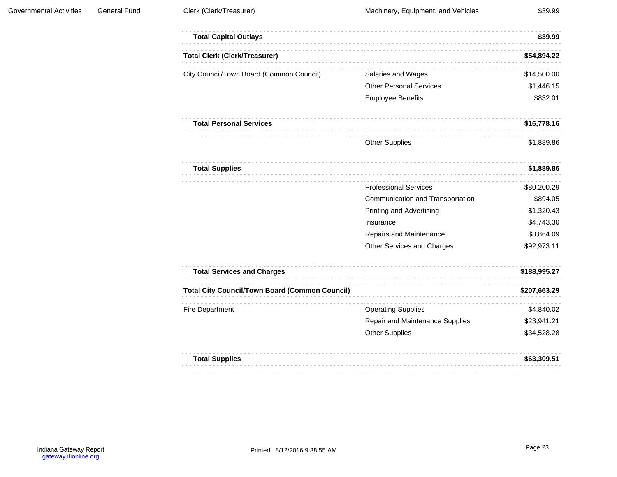| <b>Total Capital Outlays</b>                          |                                  | \$39.99      |
|-------------------------------------------------------|----------------------------------|--------------|
| <b>Total Clerk (Clerk/Treasurer)</b>                  |                                  | \$54,894.22  |
| City Council/Town Board (Common Council)              | Salaries and Wages               | \$14,500.00  |
|                                                       | <b>Other Personal Services</b>   | \$1,446.15   |
|                                                       | <b>Employee Benefits</b>         | \$832.01     |
| <b>Total Personal Services</b>                        |                                  | \$16,778.16  |
|                                                       | <b>Other Supplies</b>            | \$1,889.86   |
| <b>Total Supplies</b>                                 |                                  | \$1,889.86   |
|                                                       | <b>Professional Services</b>     | \$80,200.29  |
|                                                       | Communication and Transportation | \$894.05     |
|                                                       | <b>Printing and Advertising</b>  | \$1,320.43   |
|                                                       | Insurance                        | \$4,743.30   |
|                                                       | Repairs and Maintenance          | \$8,864.09   |
|                                                       | Other Services and Charges       | \$92,973.11  |
| <b>Total Services and Charges</b>                     |                                  | \$188,995.27 |
| <b>Total City Council/Town Board (Common Council)</b> |                                  | \$207,663.29 |
| <b>Fire Department</b>                                | <b>Operating Supplies</b>        | \$4,840.02   |
|                                                       | Repair and Maintenance Supplies  | \$23,941.21  |
|                                                       | <b>Other Supplies</b>            | \$34,528.28  |
| <b>Total Supplies</b>                                 |                                  | \$63,309.51  |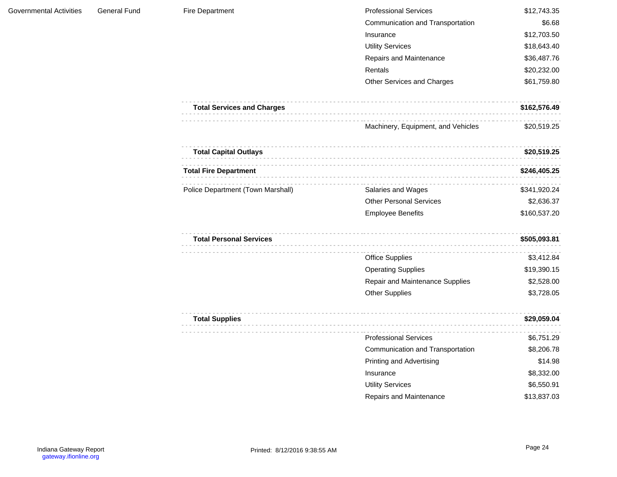| <b>Fire Department</b>            | <b>Professional Services</b>       | \$12,743.35  |
|-----------------------------------|------------------------------------|--------------|
|                                   | Communication and Transportation   | \$6.68       |
|                                   | Insurance                          | \$12,703.50  |
|                                   | <b>Utility Services</b>            | \$18,643.40  |
|                                   | Repairs and Maintenance            | \$36,487.76  |
|                                   | Rentals                            | \$20,232.00  |
|                                   | Other Services and Charges         | \$61,759.80  |
| <b>Total Services and Charges</b> |                                    | \$162,576.49 |
|                                   | Machinery, Equipment, and Vehicles | \$20,519.25  |
| <b>Total Capital Outlays</b>      |                                    | \$20,519.25  |
| <b>Total Fire Department</b>      |                                    | \$246,405.25 |
| Police Department (Town Marshall) | Salaries and Wages                 | \$341,920.24 |
|                                   | <b>Other Personal Services</b>     | \$2,636.37   |
|                                   | <b>Employee Benefits</b>           | \$160,537.20 |
| <b>Total Personal Services</b>    |                                    | \$505,093.81 |
|                                   | <b>Office Supplies</b>             | \$3,412.84   |
|                                   | <b>Operating Supplies</b>          | \$19,390.15  |
|                                   | Repair and Maintenance Supplies    | \$2,528.00   |
|                                   | <b>Other Supplies</b>              | \$3,728.05   |
| <b>Total Supplies</b>             |                                    | \$29,059.04  |

| <b>Total Supplies</b> |                                  | \$29,059.04 |
|-----------------------|----------------------------------|-------------|
|                       | <b>Professional Services</b>     | \$6,751.29  |
|                       | Communication and Transportation | \$8,206.78  |
|                       | <b>Printing and Advertising</b>  | \$14.98     |
|                       | Insurance                        | \$8,332.00  |
|                       | <b>Utility Services</b>          | \$6,550.91  |
|                       | Repairs and Maintenance          | \$13,837.03 |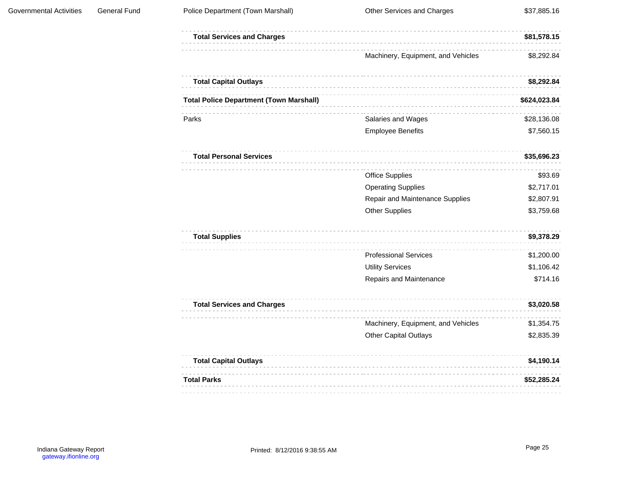| <b>Total Services and Charges</b>              |                                    | \$81,578.15  |
|------------------------------------------------|------------------------------------|--------------|
|                                                | Machinery, Equipment, and Vehicles | \$8,292.84   |
| <b>Total Capital Outlays</b>                   |                                    | \$8,292.84   |
| <b>Total Police Department (Town Marshall)</b> |                                    | \$624,023.84 |
| Parks                                          | Salaries and Wages                 | \$28,136.08  |
|                                                | <b>Employee Benefits</b>           | \$7,560.15   |
| <b>Total Personal Services</b>                 |                                    | \$35,696.23  |
|                                                | <b>Office Supplies</b>             | \$93.69      |
|                                                | <b>Operating Supplies</b>          | \$2,717.01   |
|                                                | Repair and Maintenance Supplies    | \$2,807.91   |
|                                                | Other Supplies                     | \$3,759.68   |
| <b>Total Supplies</b>                          |                                    | \$9,378.29   |
|                                                | <b>Professional Services</b>       | \$1,200.00   |
|                                                | <b>Utility Services</b>            | \$1,106.42   |
|                                                | Repairs and Maintenance            | \$714.16     |
| <b>Total Services and Charges</b>              |                                    | \$3,020.58   |
|                                                | Machinery, Equipment, and Vehicles | \$1,354.75   |
|                                                | <b>Other Capital Outlays</b>       | \$2,835.39   |
| <b>Total Capital Outlays</b>                   |                                    | \$4,190.14   |
| <b>Total Parks</b>                             |                                    | \$52,285.24  |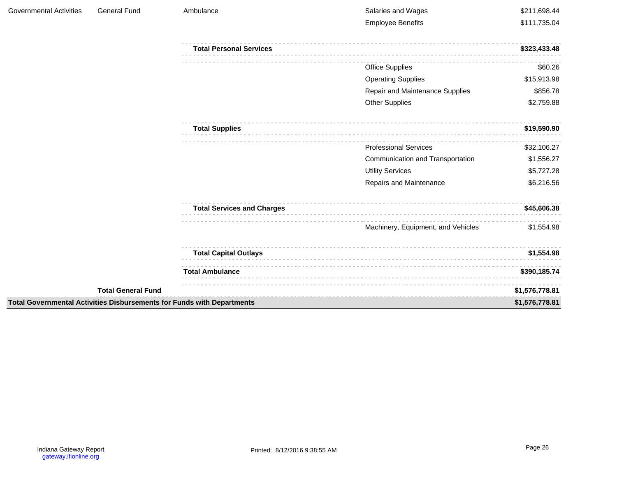| <b>Governmental Activities</b> | <b>General Fund</b>       | Ambulance                                                              | Salaries and Wages                 | \$211,698.44   |
|--------------------------------|---------------------------|------------------------------------------------------------------------|------------------------------------|----------------|
|                                |                           |                                                                        | <b>Employee Benefits</b>           | \$111,735.04   |
|                                |                           | <b>Total Personal Services</b>                                         |                                    | \$323,433.48   |
|                                |                           |                                                                        | Office Supplies                    | \$60.26        |
|                                |                           |                                                                        | <b>Operating Supplies</b>          | \$15,913.98    |
|                                |                           |                                                                        | Repair and Maintenance Supplies    | \$856.78       |
|                                |                           |                                                                        | <b>Other Supplies</b>              | \$2,759.88     |
|                                |                           | <b>Total Supplies</b>                                                  |                                    | \$19,590.90    |
|                                |                           |                                                                        | <b>Professional Services</b>       | \$32,106.27    |
|                                |                           |                                                                        | Communication and Transportation   | \$1,556.27     |
|                                |                           |                                                                        | <b>Utility Services</b>            | \$5,727.28     |
|                                |                           |                                                                        | Repairs and Maintenance            | \$6,216.56     |
|                                |                           | <b>Total Services and Charges</b>                                      |                                    | \$45,606.38    |
|                                |                           |                                                                        | Machinery, Equipment, and Vehicles | \$1,554.98     |
|                                |                           | <b>Total Capital Outlays</b>                                           |                                    | \$1,554.98     |
|                                |                           | <b>Total Ambulance</b>                                                 |                                    | \$390,185.74   |
|                                | <b>Total General Fund</b> |                                                                        |                                    | \$1,576,778.81 |
|                                |                           | Total Governmental Activities Disbursements for Funds with Departments |                                    | \$1,576,778.81 |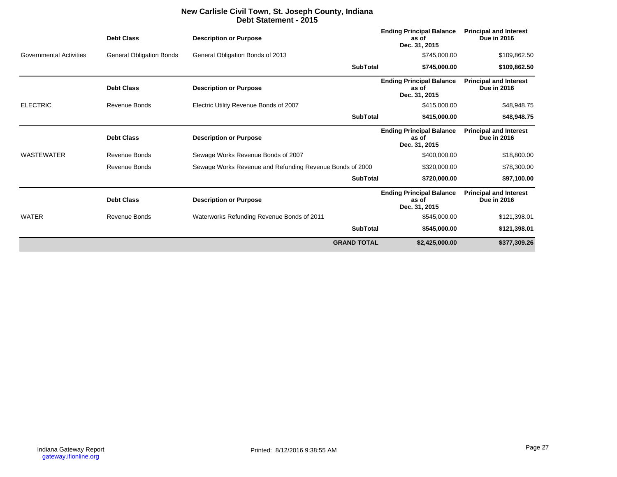## **New Carlisle Civil Town, St. Joseph County, Indiana Debt Statement - 2015**

|                                | <b>Debt Class</b>               | <b>Description or Purpose</b>                            | <b>Ending Principal Balance</b><br>as of<br>Dec. 31, 2015 | <b>Principal and Interest</b><br><b>Due in 2016</b> |
|--------------------------------|---------------------------------|----------------------------------------------------------|-----------------------------------------------------------|-----------------------------------------------------|
| <b>Governmental Activities</b> | <b>General Obligation Bonds</b> | General Obligation Bonds of 2013                         | \$745,000.00                                              | \$109,862.50                                        |
|                                |                                 | <b>SubTotal</b>                                          | \$745,000.00                                              | \$109,862.50                                        |
|                                | <b>Debt Class</b>               | <b>Description or Purpose</b>                            | <b>Ending Principal Balance</b><br>as of<br>Dec. 31, 2015 | <b>Principal and Interest</b><br><b>Due in 2016</b> |
| <b>ELECTRIC</b>                | Revenue Bonds                   | Electric Utility Revenue Bonds of 2007                   | \$415,000.00                                              | \$48,948.75                                         |
|                                |                                 | <b>SubTotal</b>                                          | \$415,000.00                                              | \$48,948.75                                         |
|                                | <b>Debt Class</b>               | <b>Description or Purpose</b>                            | <b>Ending Principal Balance</b><br>as of<br>Dec. 31, 2015 | <b>Principal and Interest</b><br><b>Due in 2016</b> |
| <b>WASTEWATER</b>              | Revenue Bonds                   | Sewage Works Revenue Bonds of 2007                       | \$400,000.00                                              | \$18,800.00                                         |
|                                | Revenue Bonds                   | Sewage Works Revenue and Refunding Revenue Bonds of 2000 | \$320,000.00                                              | \$78,300.00                                         |
|                                |                                 | <b>SubTotal</b>                                          | \$720,000.00                                              | \$97,100.00                                         |
|                                | <b>Debt Class</b>               | <b>Description or Purpose</b>                            | <b>Ending Principal Balance</b><br>as of<br>Dec. 31, 2015 | <b>Principal and Interest</b><br><b>Due in 2016</b> |
| <b>WATER</b>                   | Revenue Bonds                   | Waterworks Refunding Revenue Bonds of 2011               | \$545,000.00                                              | \$121,398.01                                        |
|                                |                                 | <b>SubTotal</b>                                          | \$545,000.00                                              | \$121,398.01                                        |
|                                |                                 | <b>GRAND TOTAL</b>                                       | \$2,425,000.00                                            | \$377,309.26                                        |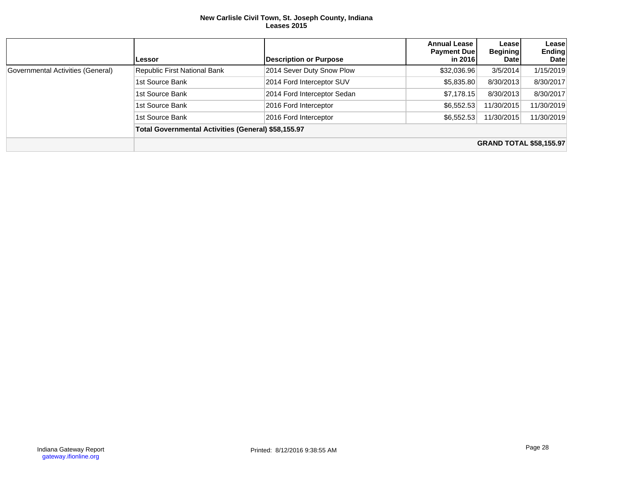#### **New Carlisle Civil Town, St. Joseph County, Indiana Leases 2015**

|                                   | Lessor                                              | Description or Purpose      | <b>Annual Lease</b><br><b>Payment Due</b><br>in 2016 | Lease<br><b>Begining</b><br><b>Date</b> | Lease<br>$\mathsf{Ending}\,$<br>Datae |  |  |  |
|-----------------------------------|-----------------------------------------------------|-----------------------------|------------------------------------------------------|-----------------------------------------|---------------------------------------|--|--|--|
| Governmental Activities (General) | Republic First National Bank                        | 2014 Sever Duty Snow Plow   | \$32,036.96                                          | 3/5/2014                                | 1/15/2019                             |  |  |  |
|                                   | 1st Source Bank                                     | 2014 Ford Interceptor SUV   | \$5,835.80                                           | 8/30/2013                               | 8/30/2017                             |  |  |  |
|                                   | 1st Source Bank                                     | 2014 Ford Interceptor Sedan | \$7,178.15                                           | 8/30/2013                               | 8/30/2017                             |  |  |  |
|                                   | 1st Source Bank                                     | 2016 Ford Interceptor       | \$6,552.53                                           | 11/30/2015                              | 11/30/2019                            |  |  |  |
|                                   | 1st Source Bank                                     | 2016 Ford Interceptor       | \$6,552.53                                           | 11/30/2015                              | 11/30/2019                            |  |  |  |
|                                   | Total Governmental Activities (General) \$58,155.97 |                             |                                                      |                                         |                                       |  |  |  |
|                                   |                                                     |                             |                                                      | <b>GRAND TOTAL \$58,155.97</b>          |                                       |  |  |  |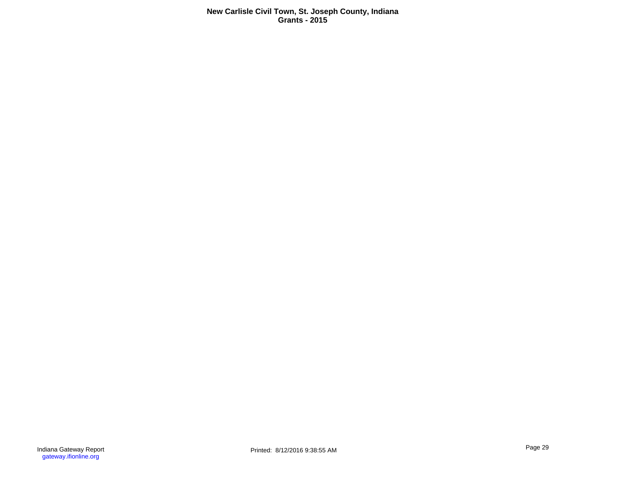**New Carlisle Civil Town, St. Joseph County, Indiana Grants - 2015**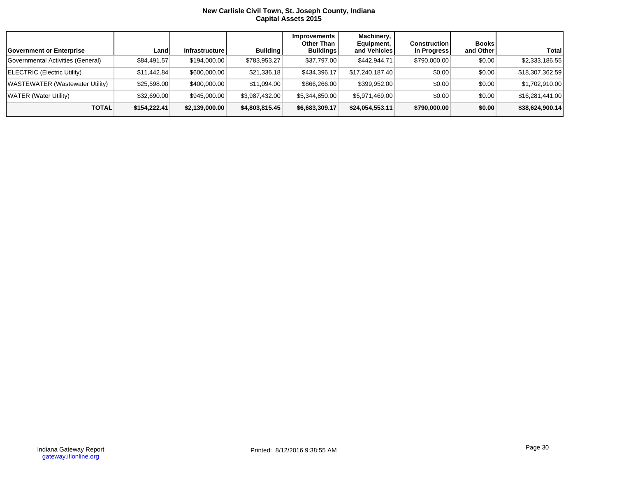#### **New Carlisle Civil Town, St. Joseph County, Indiana Capital Assets 2015**

| Government or Enterprise          | Landl        | Infrastructure | <b>Building</b> | <b>Improvements</b><br>Other Than<br><b>Buildings</b> | Machinery,<br>Equipment,<br>and Vehicles | <b>Construction</b><br>in Progress | <b>Books</b><br>and Other | Total           |
|-----------------------------------|--------------|----------------|-----------------|-------------------------------------------------------|------------------------------------------|------------------------------------|---------------------------|-----------------|
| Governmental Activities (General) | \$84,491.57  | \$194,000.00   | \$783,953.27    | \$37,797.00                                           | \$442,944.71                             | \$790,000.00                       | \$0.00                    | \$2,333,186.55  |
| ELECTRIC (Electric Utility)       | \$11,442.84  | \$600,000.00   | \$21,336.18     | \$434,396.17                                          | \$17,240,187.40                          | \$0.00                             | \$0.00                    | \$18,307,362.59 |
| WASTEWATER (Wastewater Utility)   | \$25,598.00  | \$400,000.00   | \$11,094.00     | \$866,266.00                                          | \$399,952.00                             | \$0.00                             | \$0.00                    | \$1,702,910.00  |
| WATER (Water Utility)             | \$32,690.00  | \$945,000.00   | \$3,987,432.00  | \$5,344,850.00                                        | \$5,971,469.00                           | \$0.00                             | \$0.00                    | \$16,281,441.00 |
| <b>TOTAL</b>                      | \$154,222.41 | \$2,139,000.00 | \$4,803,815.45  | \$6,683,309.17                                        | \$24,054,553.11                          | \$790,000.00                       | \$0.00                    | \$38,624,900.14 |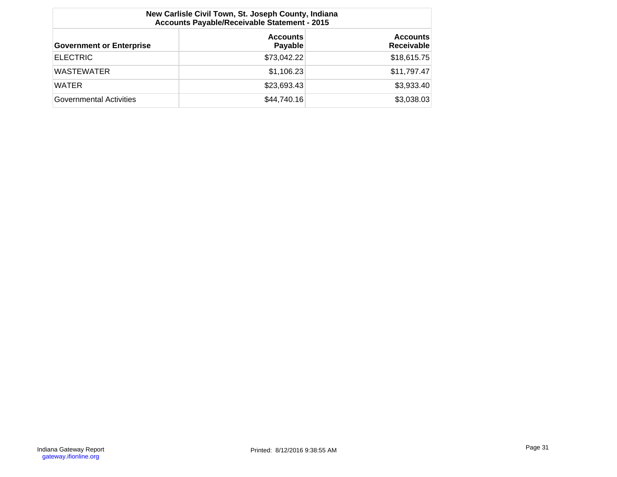| New Carlisle Civil Town, St. Joseph County, Indiana<br>Accounts Payable/Receivable Statement - 2015 |                            |                               |  |  |  |  |
|-----------------------------------------------------------------------------------------------------|----------------------------|-------------------------------|--|--|--|--|
| <b>Government or Enterprise</b>                                                                     | <b>Accounts</b><br>Payable | <b>Accounts</b><br>Receivable |  |  |  |  |
| <b>ELECTRIC</b>                                                                                     | \$73,042.22                | \$18,615.75                   |  |  |  |  |
| <b>WASTEWATER</b>                                                                                   | \$1,106.23                 | \$11,797.47                   |  |  |  |  |
| <b>WATER</b>                                                                                        | \$23,693.43                | \$3,933.40                    |  |  |  |  |
| Governmental Activities                                                                             | \$44,740.16                | \$3,038.03                    |  |  |  |  |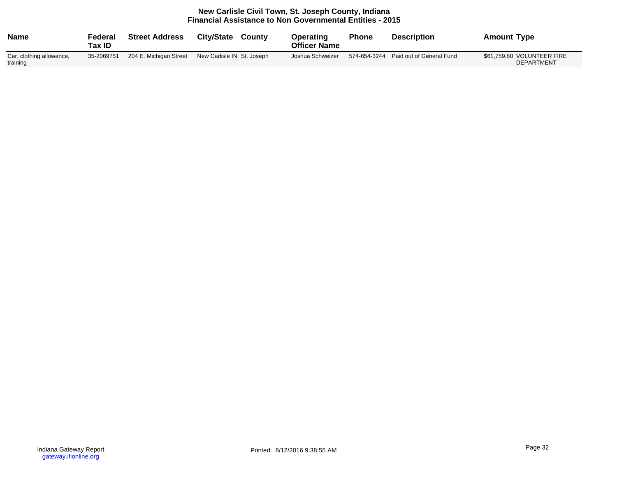# **New Carlisle Civil Town, St. Joseph County, Indiana Financial Assistance to Non Governmental Entities - 2015**

| <b>Name</b>                          | Federal<br>Tax ID | <b>Street Address</b>  | City/State                 | County | Operating<br><b>Officer Name</b> | <b>Phone</b> | <b>Description</b>                    | <b>Amount Type</b>                              |
|--------------------------------------|-------------------|------------------------|----------------------------|--------|----------------------------------|--------------|---------------------------------------|-------------------------------------------------|
| Car, clothing allowance,<br>training | 35-2069751        | 204 E. Michigan Street | New Carlisle IN St. Joseph |        | Joshua Schweizer                 |              | 574-654-3244 Paid out of General Fund | \$61.759.80 VOLUNTEER FIRE<br><b>DEPARTMENT</b> |